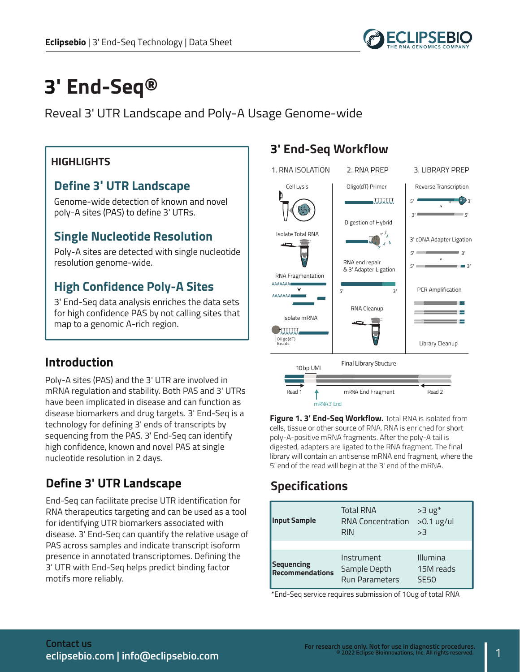

# **3' End-Seq®**

Reveal 3' UTR Landscape and Poly-A Usage Genome-wide

#### **HIGHLIGHTS**

#### **Define 3' UTR Landscape**

Genome-wide detection of known and novel poly-A sites (PAS) to define 3' UTRs.

#### **Single Nucleotide Resolution**

Poly-A sites are detected with single nucleotide resolution genome-wide.

### **High Confidence Poly-A Sites**

3' End-Seq data analysis enriches the data sets for high confidence PAS by not calling sites that map to a genomic A-rich region.

#### **Introduction**

Poly-A sites (PAS) and the 3' UTR are involved in mRNA regulation and stability. Both PAS and 3' UTRs have been implicated in disease and can function as disease biomarkers and drug targets. 3' End-Seq is a technology for defining 3' ends of transcripts by sequencing from the PAS. 3' End-Seq can identify high confidence, known and novel PAS at single nucleotide resolution in 2 days.

### **Define 3' UTR Landscape**

End-Seq can facilitate precise UTR identification for RNA therapeutics targeting and can be used as a tool for identifying UTR biomarkers associated with disease. 3' End-Seq can quantify the relative usage of PAS across samples and indicate transcript isoform presence in annotated transcriptomes. Defining the 3' UTR with End-Seq helps predict binding factor motifs more reliably.

### **3' End-Seq Workflow**



**Figure 1. 3' End-Seq Workflow.** Total RNA is isolated from cells, tissue or other source of RNA. RNA is enriched for short poly-A-positive mRNA fragments. After the poly-A tail is digested, adapters are ligated to the RNA fragment. The final library will contain an antisense mRNA end fragment, where the 5' end of the read will begin at the 3' end of the mRNA.

# **Specifications**

| <b>Input Sample</b>                  | <b>Total RNA</b><br><b>RNA Concentration</b><br><b>RIN</b> | $>3$ ug <sup>*</sup><br>$>0.1$ ug/ul<br>>3 |
|--------------------------------------|------------------------------------------------------------|--------------------------------------------|
| Sequencing<br><b>Recommendations</b> | Instrument<br>Sample Depth<br><b>Run Parameters</b>        | Illumina<br>15M reads<br><b>SF50</b>       |

\*End-Seq service requires submission of 10ug of total RNA

1